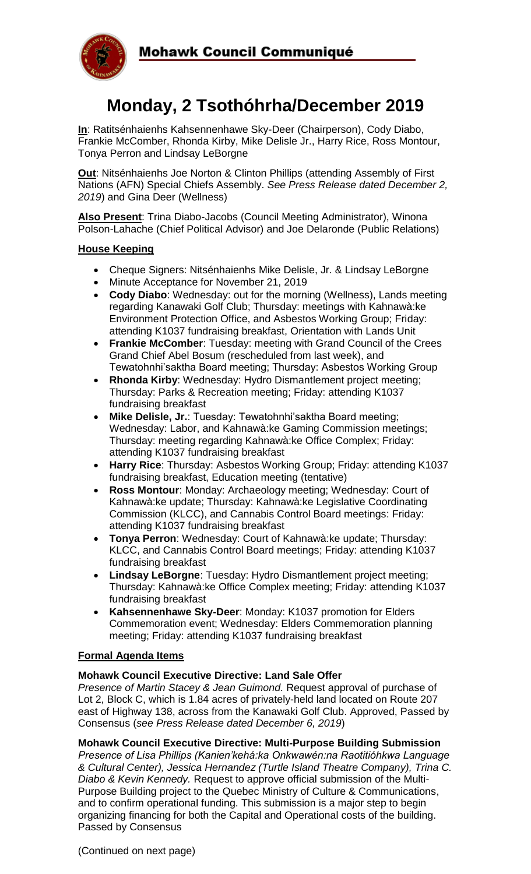

# **Monday, 2 Tsothóhrha/December 2019**

**In**: Ratitsénhaienhs Kahsennenhawe Sky-Deer (Chairperson), Cody Diabo, Frankie McComber, Rhonda Kirby, Mike Delisle Jr., Harry Rice, Ross Montour, Tonya Perron and Lindsay LeBorgne

**Out**: Nitsénhaienhs Joe Norton & Clinton Phillips (attending Assembly of First Nations (AFN) Special Chiefs Assembly. *See Press Release dated December 2, 2019*) and Gina Deer (Wellness)

**Also Present**: Trina Diabo-Jacobs (Council Meeting Administrator), Winona Polson-Lahache (Chief Political Advisor) and Joe Delaronde (Public Relations)

#### **House Keeping**

- Cheque Signers: Nitsénhaienhs Mike Delisle, Jr. & Lindsay LeBorgne
- Minute Acceptance for November 21, 2019
- **Cody Diabo**: Wednesday: out for the morning (Wellness), Lands meeting regarding Kanawaki Golf Club; Thursday: meetings with Kahnawà:ke Environment Protection Office, and Asbestos Working Group; Friday: attending K1037 fundraising breakfast, Orientation with Lands Unit
- **Frankie McComber**: Tuesday: meeting with Grand Council of the Crees Grand Chief Abel Bosum (rescheduled from last week), and Tewatohnhi'saktha Board meeting; Thursday: Asbestos Working Group
- **Rhonda Kirby**: Wednesday: Hydro Dismantlement project meeting; Thursday: Parks & Recreation meeting; Friday: attending K1037 fundraising breakfast
- **Mike Delisle, Jr.**: Tuesday: Tewatohnhi'saktha Board meeting; Wednesday: Labor, and Kahnawà:ke Gaming Commission meetings; Thursday: meeting regarding Kahnawà:ke Office Complex; Friday: attending K1037 fundraising breakfast
- **Harry Rice**: Thursday: Asbestos Working Group; Friday: attending K1037 fundraising breakfast, Education meeting (tentative)
- **Ross Montour**: Monday: Archaeology meeting; Wednesday: Court of Kahnawà:ke update; Thursday: Kahnawà:ke Legislative Coordinating Commission (KLCC), and Cannabis Control Board meetings: Friday: attending K1037 fundraising breakfast
- **Tonya Perron**: Wednesday: Court of Kahnawà:ke update; Thursday: KLCC, and Cannabis Control Board meetings; Friday: attending K1037 fundraising breakfast
- **Lindsay LeBorgne**: Tuesday: Hydro Dismantlement project meeting; Thursday: Kahnawà:ke Office Complex meeting; Friday: attending K1037 fundraising breakfast
- **Kahsennenhawe Sky-Deer**: Monday: K1037 promotion for Elders Commemoration event; Wednesday: Elders Commemoration planning meeting; Friday: attending K1037 fundraising breakfast

#### **Formal Agenda Items**

#### **Mohawk Council Executive Directive: Land Sale Offer**

*Presence of Martin Stacey & Jean Guimond.* Request approval of purchase of Lot 2, Block C, which is 1.84 acres of privately-held land located on Route 207 east of Highway 138, across from the Kanawaki Golf Club. Approved, Passed by Consensus (*see Press Release dated December 6, 2019*)

#### **Mohawk Council Executive Directive: Multi-Purpose Building Submission**

*Presence of Lisa Phillips (Kanien'kehá:ka Onkwawén:na Raotitióhkwa Language & Cultural Center), Jessica Hernandez (Turtle Island Theatre Company), Trina C. Diabo & Kevin Kennedy.* Request to approve official submission of the Multi-Purpose Building project to the Quebec Ministry of Culture & Communications, and to confirm operational funding. This submission is a major step to begin organizing financing for both the Capital and Operational costs of the building. Passed by Consensus

(Continued on next page)